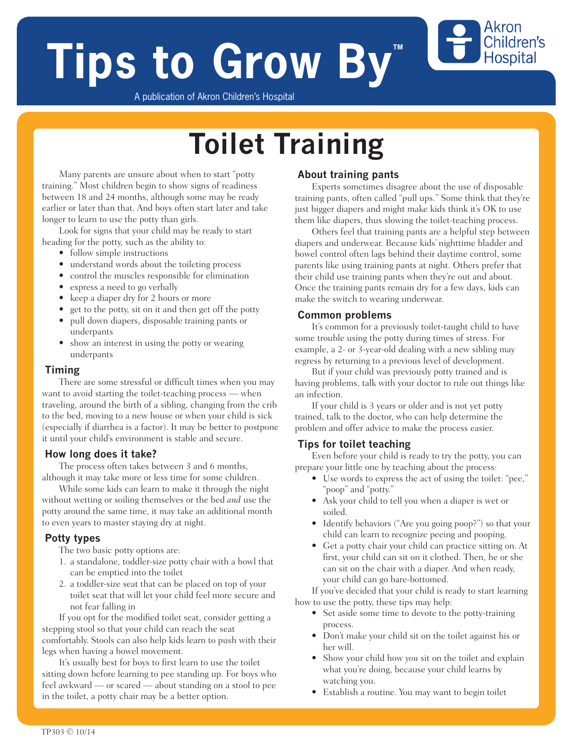# **Tips to Grow By**

Akron Children's **Hospital** 

A publication of Akron Children's Hospital

## **Toilet Training**

Many parents are unsure about when to start "potty training." Most children begin to show signs of readiness between 18 and 24 months, although some may be ready earlier or later than that. And boys often start later and take longer to learn to use the potty than girls.

Look for signs that your child may be ready to start heading for the potty, such as the ability to:

- follow simple instructions
- understand words about the toileting process
- control the muscles responsible for elimination
- express a need to go verbally
- keep a diaper dry for 2 hours or more
- get to the potty, sit on it and then get off the potty
- pull down diapers, disposable training pants or underpants
- show an interest in using the potty or wearing underpants

#### **Timing**

There are some stressful or difficult times when you may want to avoid starting the toilet-teaching process — when traveling, around the birth of a sibling, changing from the crib to the bed, moving to a new house or when your child is sick (especially if diarrhea is a factor). It may be better to postpone it until your child's environment is stable and secure.

#### **How long does it take?**

The process often takes between 3 and 6 months, although it may take more or less time for some children.

While some kids can learn to make it through the night without wetting or soiling themselves or the bed *and* use the potty around the same time, it may take an additional month to even years to master staying dry at night.

#### **Potty types**

The two basic potty options are:

- 1. a standalone, toddler-size potty chair with a bowl that can be emptied into the toilet
- 2. a toddler-size seat that can be placed on top of your toilet seat that will let your child feel more secure and not fear falling in

If you opt for the modified toilet seat, consider getting a stepping stool so that your child can reach the seat comfortably. Stools can also help kids learn to push with their legs when having a bowel movement.

It's usually best for boys to first learn to use the toilet sitting down before learning to pee standing up. For boys who feel awkward — or scared — about standing on a stool to pee in the toilet, a potty chair may be a better option.

#### **About training pants**

Experts sometimes disagree about the use of disposable training pants, often called "pull ups." Some think that they're just bigger diapers and might make kids think it's OK to use them like diapers, thus slowing the toilet-teaching process.

Others feel that training pants are a helpful step between diapers and underwear. Because kids' nighttime bladder and bowel control often lags behind their daytime control, some parents like using training pants at night. Others prefer that their child use training pants when they're out and about. Once the training pants remain dry for a few days, kids can make the switch to wearing underwear.

#### **Common problems**

It's common for a previously toilet-taught child to have some trouble using the potty during times of stress. For example, a 2- or 3-year-old dealing with a new sibling may regress by returning to a previous level of development.

But if your child was previously potty trained and is having problems, talk with your doctor to rule out things like an infection.

If your child is 3 years or older and is not yet potty trained, talk to the doctor, who can help determine the problem and offer advice to make the process easier.

#### **Tips for toilet teaching**

Even before your child is ready to try the potty, you can prepare your little one by teaching about the process:

- Use words to express the act of using the toilet: "pee," "poop" and "potty."
- Ask your child to tell you when a diaper is wet or soiled.
- Identify behaviors ("Are you going poop?") so that your child can learn to recognize peeing and pooping.
- Get a potty chair your child can practice sitting on. At first, your child can sit on it clothed. Then, he or she can sit on the chair with a diaper. And when ready, your child can go bare-bottomed.

If you've decided that your child is ready to start learning how to use the potty, these tips may help:

- Set aside some time to devote to the potty-training process.
- Don't make your child sit on the toilet against his or her will.
- Show your child how *you* sit on the toilet and explain what you're doing, because your child learns by watching you.
- Establish a routine. You may want to begin toilet